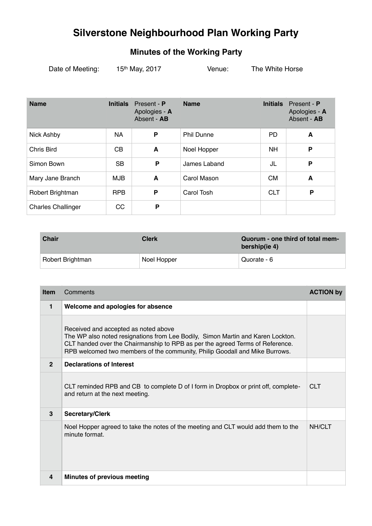## **Silverstone Neighbourhood Plan Working Party**

## **Minutes of the Working Party**

| Date of Meeting: | 15th May, 2017 | Venue: | The White Horse |
|------------------|----------------|--------|-----------------|
|------------------|----------------|--------|-----------------|

| <b>Name</b>               | <b>Initials</b> | Present - P<br>Apologies - A<br>Absent - AB | <b>Name</b>       | <b>Initials</b> | Present - P<br>Apologies - A<br>Absent - AB |
|---------------------------|-----------------|---------------------------------------------|-------------------|-----------------|---------------------------------------------|
| <b>Nick Ashby</b>         | <b>NA</b>       | P                                           | <b>Phil Dunne</b> | <b>PD</b>       | A                                           |
| Chris Bird                | <b>CB</b>       | A                                           | Noel Hopper       | NH.             | P                                           |
| Simon Bown                | <b>SB</b>       | P                                           | James Laband      | JL              | P                                           |
| Mary Jane Branch          | <b>MJB</b>      | A                                           | Carol Mason       | <b>CM</b>       | A                                           |
| Robert Brightman          | <b>RPB</b>      | P                                           | Carol Tosh        | <b>CLT</b>      | P                                           |
| <b>Charles Challinger</b> | <b>CC</b>       | P                                           |                   |                 |                                             |

| <b>Chair</b>     | <b>Clerk</b> | Quorum - one third of total mem-<br>bership(ie 4) |
|------------------|--------------|---------------------------------------------------|
| Robert Brightman | Noel Hopper  | Quorate - 6                                       |

| <b>Item</b>  | Comments                                                                                                                                                                                                                                                                                | <b>ACTION by</b> |
|--------------|-----------------------------------------------------------------------------------------------------------------------------------------------------------------------------------------------------------------------------------------------------------------------------------------|------------------|
| 1            | Welcome and apologies for absence                                                                                                                                                                                                                                                       |                  |
|              | Received and accepted as noted above<br>The WP also noted resignations from Lee Bodily, Simon Martin and Karen Lockton.<br>CLT handed over the Chairmanship to RPB as per the agreed Terms of Reference.<br>RPB welcomed two members of the community, Philip Goodall and Mike Burrows. |                  |
| $\mathbf{2}$ | <b>Declarations of Interest</b>                                                                                                                                                                                                                                                         |                  |
|              | CLT reminded RPB and CB to complete D of I form in Dropbox or print off, complete-<br>and return at the next meeting.                                                                                                                                                                   | <b>CLT</b>       |
| 3            | <b>Secretary/Clerk</b>                                                                                                                                                                                                                                                                  |                  |
|              | Noel Hopper agreed to take the notes of the meeting and CLT would add them to the<br>minute format.                                                                                                                                                                                     | <b>NH/CLT</b>    |
| 4            | Minutes of previous meeting                                                                                                                                                                                                                                                             |                  |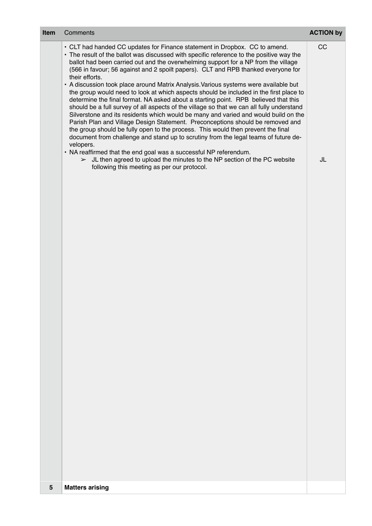| Item | Comments                                                                                                                                                                                                                                                                                                                                                                                                                                                                                                                                                                                                                                                                                                                                                                                                                                                                                                                                                                                                                                                                                                                                                                                                                                                                                                       | <b>ACTION by</b> |
|------|----------------------------------------------------------------------------------------------------------------------------------------------------------------------------------------------------------------------------------------------------------------------------------------------------------------------------------------------------------------------------------------------------------------------------------------------------------------------------------------------------------------------------------------------------------------------------------------------------------------------------------------------------------------------------------------------------------------------------------------------------------------------------------------------------------------------------------------------------------------------------------------------------------------------------------------------------------------------------------------------------------------------------------------------------------------------------------------------------------------------------------------------------------------------------------------------------------------------------------------------------------------------------------------------------------------|------------------|
|      | • CLT had handed CC updates for Finance statement in Dropbox. CC to amend.<br>• The result of the ballot was discussed with specific reference to the positive way the<br>ballot had been carried out and the overwhelming support for a NP from the village<br>(566 in favour; 56 against and 2 spoilt papers). CLT and RPB thanked everyone for<br>their efforts.<br>• A discussion took place around Matrix Analysis. Various systems were available but<br>the group would need to look at which aspects should be included in the first place to<br>determine the final format. NA asked about a starting point. RPB believed that this<br>should be a full survey of all aspects of the village so that we can all fully understand<br>Silverstone and its residents which would be many and varied and would build on the<br>Parish Plan and Village Design Statement. Preconceptions should be removed and<br>the group should be fully open to the process. This would then prevent the final<br>document from challenge and stand up to scrutiny from the legal teams of future de-<br>velopers.<br>• NA reaffirmed that the end goal was a successful NP referendum.<br>$>$ JL then agreed to upload the minutes to the NP section of the PC website<br>following this meeting as per our protocol. | CC<br>JL         |
| 5    | <b>Matters arising</b>                                                                                                                                                                                                                                                                                                                                                                                                                                                                                                                                                                                                                                                                                                                                                                                                                                                                                                                                                                                                                                                                                                                                                                                                                                                                                         |                  |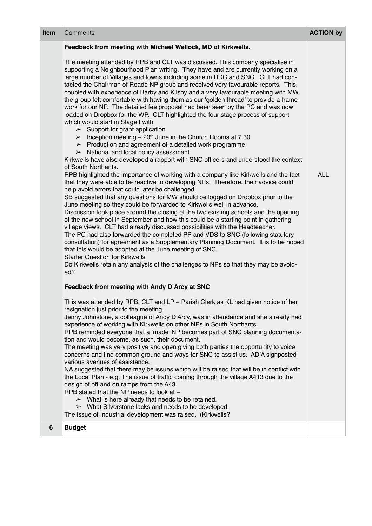| <b>Item</b> | Comments                                                                                                                                                                                                                                                                                                                                                                                                                                                                                                                                                                                                                                                                                                                                                                                                                                                                                                                                                                                                                                                                                                                                                                                                                                                                                                                                                                                                                                                                                                                                                                                                                                                                                                                                                                                                                                                                                                                                                                                                                                                                                                                                                                                                                                                                                                                                                                                                                                                                                                                                                                                                                                                       | <b>ACTION by</b> |
|-------------|----------------------------------------------------------------------------------------------------------------------------------------------------------------------------------------------------------------------------------------------------------------------------------------------------------------------------------------------------------------------------------------------------------------------------------------------------------------------------------------------------------------------------------------------------------------------------------------------------------------------------------------------------------------------------------------------------------------------------------------------------------------------------------------------------------------------------------------------------------------------------------------------------------------------------------------------------------------------------------------------------------------------------------------------------------------------------------------------------------------------------------------------------------------------------------------------------------------------------------------------------------------------------------------------------------------------------------------------------------------------------------------------------------------------------------------------------------------------------------------------------------------------------------------------------------------------------------------------------------------------------------------------------------------------------------------------------------------------------------------------------------------------------------------------------------------------------------------------------------------------------------------------------------------------------------------------------------------------------------------------------------------------------------------------------------------------------------------------------------------------------------------------------------------------------------------------------------------------------------------------------------------------------------------------------------------------------------------------------------------------------------------------------------------------------------------------------------------------------------------------------------------------------------------------------------------------------------------------------------------------------------------------------------------|------------------|
|             | Feedback from meeting with Michael Wellock, MD of Kirkwells.<br>The meeting attended by RPB and CLT was discussed. This company specialise in<br>supporting a Neighbourhood Plan writing. They have and are currently working on a<br>large number of Villages and towns including some in DDC and SNC. CLT had con-<br>tacted the Chairman of Roade NP group and received very favourable reports. This,<br>coupled with experience of Barby and Kilsby and a very favourable meeting with MW,<br>the group felt comfortable with having them as our 'golden thread' to provide a frame-<br>work for our NP. The detailed fee proposal had been seen by the PC and was now<br>loaded on Dropbox for the WP. CLT highlighted the four stage process of support<br>which would start in Stage I with<br>$\triangleright$ Support for grant application<br>$\triangleright$ Inception meeting – 20 <sup>th</sup> June in the Church Rooms at 7.30<br>$\triangleright$ Production and agreement of a detailed work programme<br>$>$ National and local policy assessment<br>Kirkwells have also developed a rapport with SNC officers and understood the context<br>of South Northants.<br>RPB highlighted the importance of working with a company like Kirkwells and the fact<br>that they were able to be reactive to developing NPs. Therefore, their advice could<br>help avoid errors that could later be challenged.<br>SB suggested that any questions for MW should be logged on Dropbox prior to the<br>June meeting so they could be forwarded to Kirkwells well in advance.<br>Discussion took place around the closing of the two existing schools and the opening<br>of the new school in September and how this could be a starting point in gathering<br>village views. CLT had already discussed possibilities with the Headteacher.<br>The PC had also forwarded the completed PP and VDS to SNC (following statutory<br>consultation) for agreement as a Supplementary Planning Document. It is to be hoped<br>that this would be adopted at the June meeting of SNC.<br><b>Starter Question for Kirkwells</b><br>Do Kirkwells retain any analysis of the challenges to NPs so that they may be avoid-<br>ed?<br>Feedback from meeting with Andy D'Arcy at SNC<br>This was attended by RPB, CLT and LP - Parish Clerk as KL had given notice of her<br>resignation just prior to the meeting.<br>Jenny Johnstone, a colleague of Andy D'Arcy, was in attendance and she already had<br>experience of working with Kirkwells on other NPs in South Northants.<br>RPB reminded everyone that a 'made' NP becomes part of SNC planning documenta- | <b>ALL</b>       |
|             | tion and would become, as such, their document.<br>The meeting was very positive and open giving both parties the opportunity to voice<br>concerns and find common ground and ways for SNC to assist us. AD'A signposted<br>various avenues of assistance.<br>NA suggested that there may be issues which will be raised that will be in conflict with<br>the Local Plan - e.g. The issue of traffic coming through the village A413 due to the<br>design of off and on ramps from the A43.<br>RPB stated that the NP needs to look at -<br>$\triangleright$ What is here already that needs to be retained.<br>$\triangleright$ What Silverstone lacks and needs to be developed.<br>The issue of Industrial development was raised. (Kirkwells?                                                                                                                                                                                                                                                                                                                                                                                                                                                                                                                                                                                                                                                                                                                                                                                                                                                                                                                                                                                                                                                                                                                                                                                                                                                                                                                                                                                                                                                                                                                                                                                                                                                                                                                                                                                                                                                                                                              |                  |
| 6           | <b>Budget</b>                                                                                                                                                                                                                                                                                                                                                                                                                                                                                                                                                                                                                                                                                                                                                                                                                                                                                                                                                                                                                                                                                                                                                                                                                                                                                                                                                                                                                                                                                                                                                                                                                                                                                                                                                                                                                                                                                                                                                                                                                                                                                                                                                                                                                                                                                                                                                                                                                                                                                                                                                                                                                                                  |                  |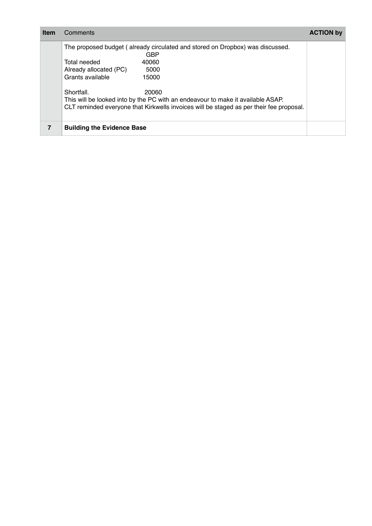| Item | Comments                                                                                                                                                                                          | <b>ACTION by</b> |
|------|---------------------------------------------------------------------------------------------------------------------------------------------------------------------------------------------------|------------------|
|      | The proposed budget (already circulated and stored on Dropbox) was discussed.<br>GBP<br>40060<br>Total needed<br>Already allocated (PC)<br>5000<br>Grants available<br>15000                      |                  |
|      | Shortfall.<br>20060<br>This will be looked into by the PC with an endeavour to make it available ASAP.<br>CLT reminded everyone that Kirkwells invoices will be staged as per their fee proposal. |                  |
|      | <b>Building the Evidence Base</b>                                                                                                                                                                 |                  |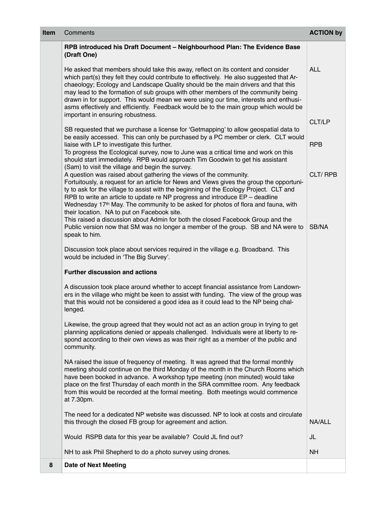| Item | Comments                                                                                                                                                                                                                                                                                                                                                                                                                                                                                                                                                                    | <b>ACTION by</b>     |
|------|-----------------------------------------------------------------------------------------------------------------------------------------------------------------------------------------------------------------------------------------------------------------------------------------------------------------------------------------------------------------------------------------------------------------------------------------------------------------------------------------------------------------------------------------------------------------------------|----------------------|
|      | RPB introduced his Draft Document - Neighbourhood Plan: The Evidence Base<br>(Draft One)                                                                                                                                                                                                                                                                                                                                                                                                                                                                                    |                      |
|      | He asked that members should take this away, reflect on its content and consider<br>which part(s) they felt they could contribute to effectively. He also suggested that Ar-<br>chaeology; Ecology and Landscape Quality should be the main drivers and that this<br>may lead to the formation of sub groups with other members of the community being<br>drawn in for support. This would mean we were using our time, interests and enthusi-<br>asms effectively and efficiently. Feedback would be to the main group which would be<br>important in ensuring robustness. | <b>ALL</b>           |
|      | SB requested that we purchase a license for 'Getmapping' to allow geospatial data to<br>be easily accessed. This can only be purchased by a PC member or clerk. CLT would<br>liaise with LP to investigate this further.<br>To progress the Ecological survey, now to June was a critical time and work on this<br>should start immediately. RPB would approach Tim Goodwin to get his assistant                                                                                                                                                                            | CLT/LP<br><b>RPB</b> |
|      | (Sam) to visit the village and begin the survey.<br>A question was raised about gathering the views of the community.<br>Fortuitously, a request for an article for News and Views gives the group the opportuni-<br>ty to ask for the village to assist with the beginning of the Ecology Project. CLT and<br>RPB to write an article to update re NP progress and introduce $EP -$ deadline<br>Wednesday 17 <sup>th</sup> May. The community to be asked for photos of flora and fauna, with<br>their location. NA to put on Facebook site.                               | <b>CLT/RPB</b>       |
|      | This raised a discussion about Admin for both the closed Facebook Group and the<br>Public version now that SM was no longer a member of the group. SB and NA were to<br>speak to him.                                                                                                                                                                                                                                                                                                                                                                                       | SB/NA                |
|      | Discussion took place about services required in the village e.g. Broadband. This<br>would be included in 'The Big Survey'.                                                                                                                                                                                                                                                                                                                                                                                                                                                 |                      |
|      | <b>Further discussion and actions</b>                                                                                                                                                                                                                                                                                                                                                                                                                                                                                                                                       |                      |
|      | A discussion took place around whether to accept financial assistance from Landown-<br>ers in the village who might be keen to assist with funding. The view of the group was<br>that this would not be considered a good idea as it could lead to the NP being chal-<br>lenged.                                                                                                                                                                                                                                                                                            |                      |
|      | Likewise, the group agreed that they would not act as an action group in trying to get<br>planning applications denied or appeals challenged. Individuals were at liberty to re-<br>spond according to their own views as was their right as a member of the public and<br>community.                                                                                                                                                                                                                                                                                       |                      |
|      | NA raised the issue of frequency of meeting. It was agreed that the formal monthly<br>meeting should continue on the third Monday of the month in the Church Rooms which<br>have been booked in advance. A workshop type meeting (non minuted) would take<br>place on the first Thursday of each month in the SRA committee room. Any feedback<br>from this would be recorded at the formal meeting. Both meetings would commence<br>at 7.30pm.                                                                                                                             |                      |
|      | The need for a dedicated NP website was discussed. NP to look at costs and circulate<br>this through the closed FB group for agreement and action.                                                                                                                                                                                                                                                                                                                                                                                                                          | NA/ALL               |
|      | Would RSPB data for this year be available? Could JL find out?                                                                                                                                                                                                                                                                                                                                                                                                                                                                                                              | JL                   |
|      | NH to ask Phil Shepherd to do a photo survey using drones.                                                                                                                                                                                                                                                                                                                                                                                                                                                                                                                  | <b>NH</b>            |
| 8    | <b>Date of Next Meeting</b>                                                                                                                                                                                                                                                                                                                                                                                                                                                                                                                                                 |                      |